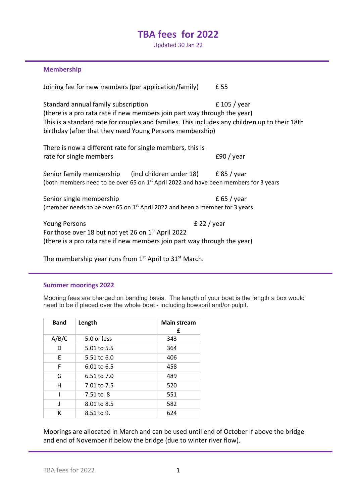# **TBA fees for 2022**

Updated 30 Jan 22

### **Membership**

Joining fee for new members (per application/family) £ 55 Standard annual family subscription E 105 / year (there is a pro rata rate if new members join part way through the year) This is a standard rate for couples and families. This includes any children up to their 18th birthday (after that they need Young Persons membership) There is now a different rate for single members, this is rate for single members **E90** / year Senior family membership (incl children under 18) E 85 / year (both members need to be over 65 on  $1<sup>st</sup>$  April 2022 and have been members for 3 years Senior single membership  $\overline{E}$  65 / year (member needs to be over 65 on  $1<sup>st</sup>$  April 2022 and been a member for 3 years Young Persons **E 22** / year For those over 18 but not yet 26 on 1st April 2022 (there is a pro rata rate if new members join part way through the year)

The membership year runs from  $1<sup>st</sup>$  April to  $31<sup>st</sup>$  March.

#### **Summer moorings 2022**

Mooring fees are charged on banding basis. The length of your boat is the length a box would need to be if placed over the whole boat - including bowsprit and/or pulpit.

| <b>Band</b> | Length      | <b>Main stream</b><br>£ |
|-------------|-------------|-------------------------|
| A/B/C       | 5.0 or less | 343                     |
| D           | 5.01 to 5.5 | 364                     |
| F           | 5.51 to 6.0 | 406                     |
| F           | 6.01 to 6.5 | 458                     |
| G           | 6.51 to 7.0 | 489                     |
| н           | 7.01 to 7.5 | 520                     |
|             | 7.51 to 8   | 551                     |
| ı           | 8.01 to 8.5 | 582                     |
| к           | 8.51 to 9.  | 624                     |

Moorings are allocated in March and can be used until end of October if above the bridge and end of November if below the bridge (due to winter river flow).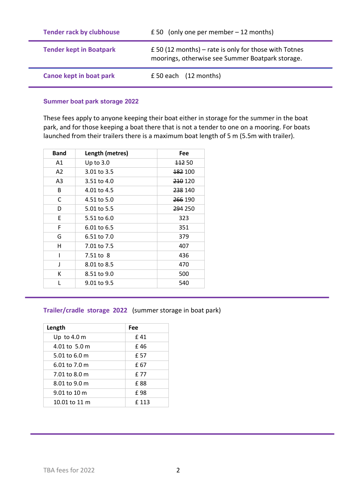| <b>Tender rack by clubhouse</b> | £ 50 (only one per member $-12$ months)                                                                       |
|---------------------------------|---------------------------------------------------------------------------------------------------------------|
| <b>Tender kept in Boatpark</b>  | $\pm$ 50 (12 months) – rate is only for those with Totnes<br>moorings, otherwise see Summer Boatpark storage. |
| <b>Canoe kept in boat park</b>  | £ 50 each (12 months)                                                                                         |

# **Summer boat park storage 2022**

These fees apply to anyone keeping their boat either in storage for the summer in the boat park, and for those keeping a boat there that is not a tender to one on a mooring. For boats launched from their trailers there is a maximum boat length of 5 m (5.5m with trailer).

| <b>Band</b>    | Length (metres) | Fee                |
|----------------|-----------------|--------------------|
| A1             | Up to $3.0$     | <del>112</del> 50  |
| A <sub>2</sub> | 3.01 to 3.5     | <del>182</del> 100 |
| A3             | 3.51 to 4.0     | 210 120            |
| B              | 4.01 to 4.5     | 238 140            |
| C              | 4.51 to 5.0     | <b>266 190</b>     |
| D              | 5.01 to 5.5     | 294 250            |
| E              | 5.51 to 6.0     | 323                |
| F              | 6.01 to 6.5     | 351                |
| G              | 6.51 to 7.0     | 379                |
| н              | 7.01 to 7.5     | 407                |
| ı              | 7.51 to 8       | 436                |
| J              | 8.01 to 8.5     | 470                |
| К              | 8.51 to 9.0     | 500                |
| L              | 9.01 to 9.5     | 540                |

# **Trailer/cradle storage 2022** (summer storage in boat park)

| Length        | Fee  |
|---------------|------|
| Up to 4.0 $m$ | £41  |
| 4.01 to 5.0 m | £46  |
| 5.01 to 6.0 m | £ 57 |
| 6.01 to 7.0 m | £ 67 |
| 7.01 to 8.0 m | £ 77 |
| 8.01 to 9.0 m | £ 88 |
| 9.01 to 10 m  | £98  |
| 10.01 to 11 m | £113 |